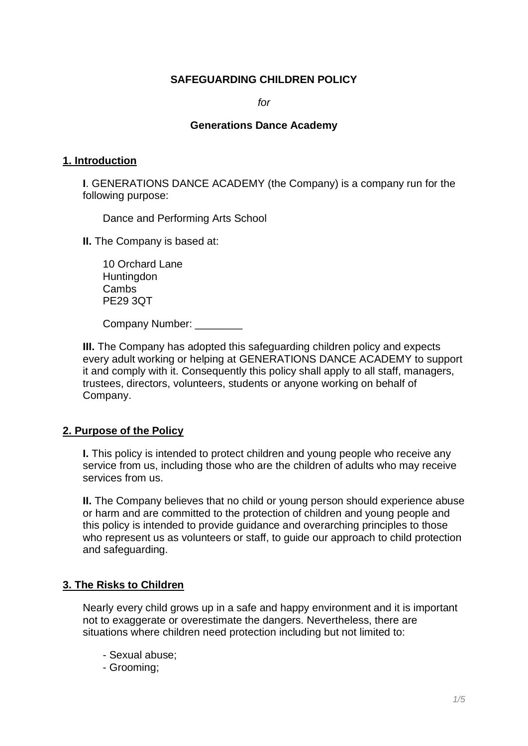### **SAFEGUARDING CHILDREN POLICY**

*for*

#### **Generations Dance Academy**

#### **1. Introduction**

**I**. GENERATIONS DANCE ACADEMY (the Company) is a company run for the following purpose:

Dance and Performing Arts School

**II.** The Company is based at:

10 Orchard Lane **Huntingdon Cambs** PE29 3QT

Company Number: \_\_\_\_\_\_

**III.** The Company has adopted this safeguarding children policy and expects every adult working or helping at GENERATIONS DANCE ACADEMY to support it and comply with it. Consequently this policy shall apply to all staff, managers, trustees, directors, volunteers, students or anyone working on behalf of Company.

### **2. Purpose of the Policy**

**I.** This policy is intended to protect children and young people who receive any service from us, including those who are the children of adults who may receive services from us.

**II.** The Company believes that no child or young person should experience abuse or harm and are committed to the protection of children and young people and this policy is intended to provide guidance and overarching principles to those who represent us as volunteers or staff, to guide our approach to child protection and safeguarding.

### **3. The Risks to Children**

Nearly every child grows up in a safe and happy environment and it is important not to exaggerate or overestimate the dangers. Nevertheless, there are situations where children need protection including but not limited to:

- Sexual abuse;
- Grooming;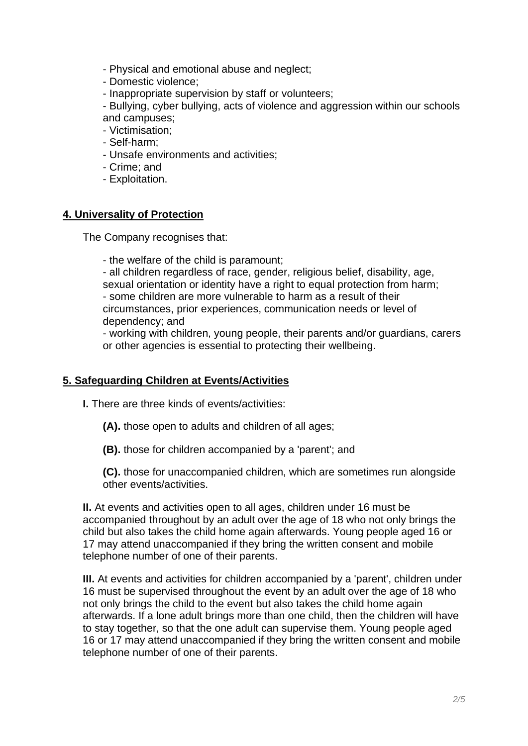- Physical and emotional abuse and neglect;
- Domestic violence;
- Inappropriate supervision by staff or volunteers;

- Bullying, cyber bullying, acts of violence and aggression within our schools and campuses;

- Victimisation;
- Self-harm;
- Unsafe environments and activities;
- Crime; and
- Exploitation.

### **4. Universality of Protection**

The Company recognises that:

- the welfare of the child is paramount;

- all children regardless of race, gender, religious belief, disability, age, sexual orientation or identity have a right to equal protection from harm; - some children are more vulnerable to harm as a result of their circumstances, prior experiences, communication needs or level of dependency; and

- working with children, young people, their parents and/or guardians, carers or other agencies is essential to protecting their wellbeing.

### **5. Safeguarding Children at Events/Activities**

**I.** There are three kinds of events/activities:

- **(A).** those open to adults and children of all ages;
- **(B).** those for children accompanied by a 'parent'; and

**(C).** those for unaccompanied children, which are sometimes run alongside other events/activities.

**II.** At events and activities open to all ages, children under 16 must be accompanied throughout by an adult over the age of 18 who not only brings the child but also takes the child home again afterwards. Young people aged 16 or 17 may attend unaccompanied if they bring the written consent and mobile telephone number of one of their parents.

**III.** At events and activities for children accompanied by a 'parent', children under 16 must be supervised throughout the event by an adult over the age of 18 who not only brings the child to the event but also takes the child home again afterwards. If a lone adult brings more than one child, then the children will have to stay together, so that the one adult can supervise them. Young people aged 16 or 17 may attend unaccompanied if they bring the written consent and mobile telephone number of one of their parents.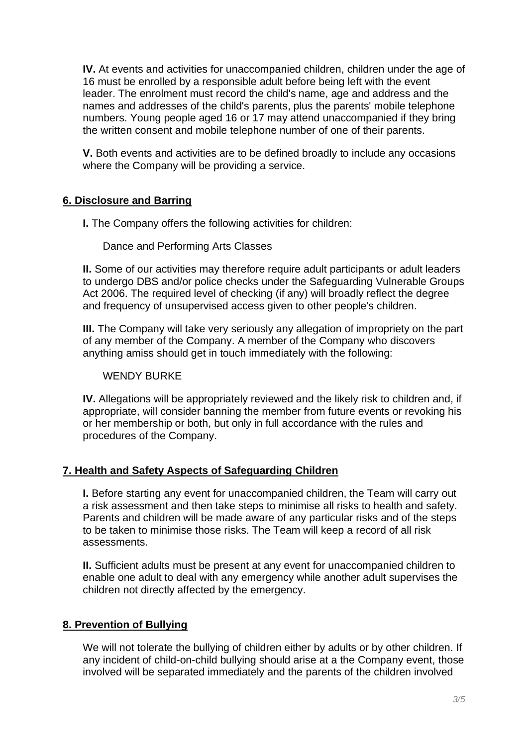**IV.** At events and activities for unaccompanied children, children under the age of 16 must be enrolled by a responsible adult before being left with the event leader. The enrolment must record the child's name, age and address and the names and addresses of the child's parents, plus the parents' mobile telephone numbers. Young people aged 16 or 17 may attend unaccompanied if they bring the written consent and mobile telephone number of one of their parents.

**V.** Both events and activities are to be defined broadly to include any occasions where the Company will be providing a service.

# **6. Disclosure and Barring**

**I.** The Company offers the following activities for children:

### Dance and Performing Arts Classes

**II.** Some of our activities may therefore require adult participants or adult leaders to undergo DBS and/or police checks under the Safeguarding Vulnerable Groups Act 2006. The required level of checking (if any) will broadly reflect the degree and frequency of unsupervised access given to other people's children.

**III.** The Company will take very seriously any allegation of impropriety on the part of any member of the Company. A member of the Company who discovers anything amiss should get in touch immediately with the following:

### WENDY BURKE

**IV.** Allegations will be appropriately reviewed and the likely risk to children and, if appropriate, will consider banning the member from future events or revoking his or her membership or both, but only in full accordance with the rules and procedures of the Company.

### **7. Health and Safety Aspects of Safeguarding Children**

**I.** Before starting any event for unaccompanied children, the Team will carry out a risk assessment and then take steps to minimise all risks to health and safety. Parents and children will be made aware of any particular risks and of the steps to be taken to minimise those risks. The Team will keep a record of all risk assessments.

**II.** Sufficient adults must be present at any event for unaccompanied children to enable one adult to deal with any emergency while another adult supervises the children not directly affected by the emergency.

# **8. Prevention of Bullying**

We will not tolerate the bullying of children either by adults or by other children. If any incident of child-on-child bullying should arise at a the Company event, those involved will be separated immediately and the parents of the children involved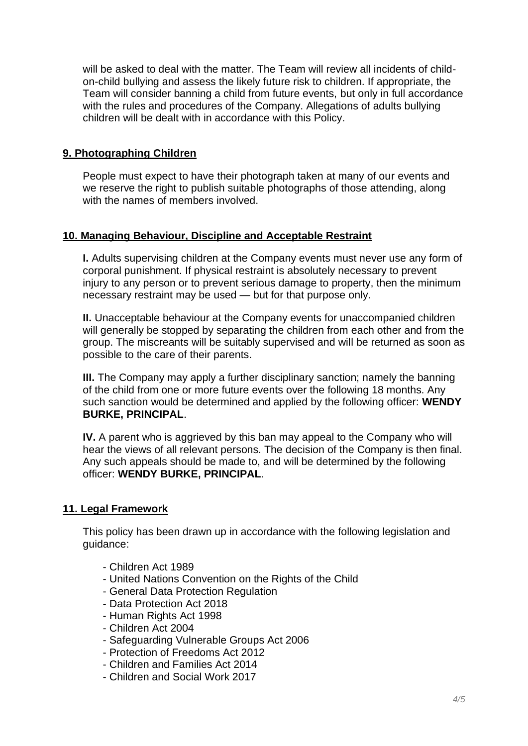will be asked to deal with the matter. The Team will review all incidents of childon-child bullying and assess the likely future risk to children. If appropriate, the Team will consider banning a child from future events, but only in full accordance with the rules and procedures of the Company. Allegations of adults bullying children will be dealt with in accordance with this Policy.

## **9. Photographing Children**

People must expect to have their photograph taken at many of our events and we reserve the right to publish suitable photographs of those attending, along with the names of members involved

### **10. Managing Behaviour, Discipline and Acceptable Restraint**

**I.** Adults supervising children at the Company events must never use any form of corporal punishment. If physical restraint is absolutely necessary to prevent injury to any person or to prevent serious damage to property, then the minimum necessary restraint may be used — but for that purpose only.

**II.** Unacceptable behaviour at the Company events for unaccompanied children will generally be stopped by separating the children from each other and from the group. The miscreants will be suitably supervised and will be returned as soon as possible to the care of their parents.

**III.** The Company may apply a further disciplinary sanction; namely the banning of the child from one or more future events over the following 18 months. Any such sanction would be determined and applied by the following officer: **WENDY BURKE, PRINCIPAL**.

**IV.** A parent who is aggrieved by this ban may appeal to the Company who will hear the views of all relevant persons. The decision of the Company is then final. Any such appeals should be made to, and will be determined by the following officer: **WENDY BURKE, PRINCIPAL**.

### **11. Legal Framework**

This policy has been drawn up in accordance with the following legislation and guidance:

- Children Act 1989
- United Nations Convention on the Rights of the Child
- General Data Protection Regulation
- Data Protection Act 2018
- Human Rights Act 1998
- Children Act 2004
- Safeguarding Vulnerable Groups Act 2006
- Protection of Freedoms Act 2012
- Children and Families Act 2014
- Children and Social Work 2017